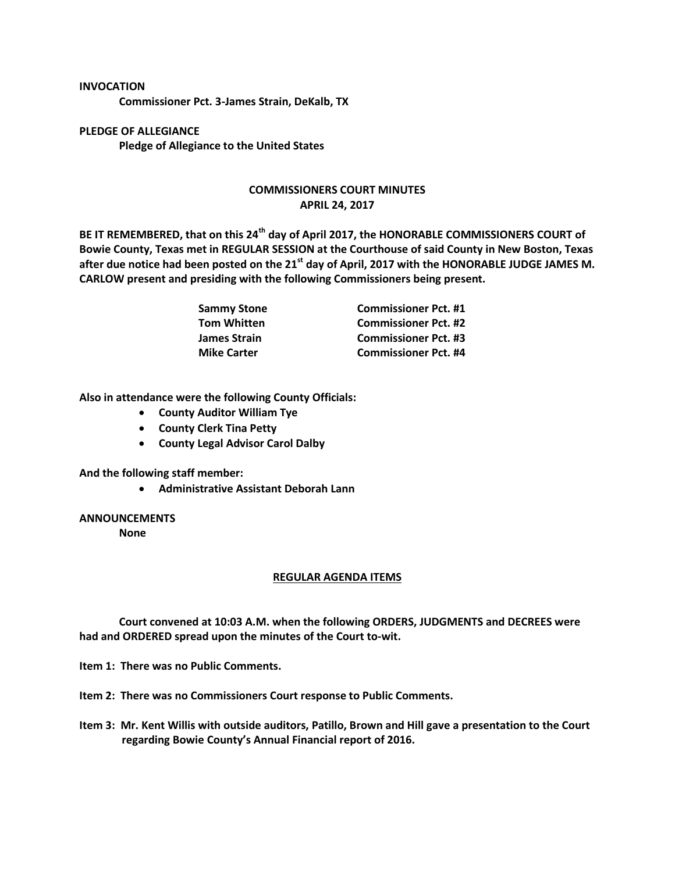## **INVOCATION**

**Commissioner Pct. 3-James Strain, DeKalb, TX**

**PLEDGE OF ALLEGIANCE Pledge of Allegiance to the United States**

## **COMMISSIONERS COURT MINUTES APRIL 24, 2017**

**BE IT REMEMBERED, that on this 24th day of April 2017, the HONORABLE COMMISSIONERS COURT of Bowie County, Texas met in REGULAR SESSION at the Courthouse of said County in New Boston, Texas after due notice had been posted on the 21st day of April, 2017 with the HONORABLE JUDGE JAMES M. CARLOW present and presiding with the following Commissioners being present.**

| Sammy Stone<br>Tom Whitten | <b>Commissioner Pct. #1</b> |
|----------------------------|-----------------------------|
|                            | <b>Commissioner Pct. #2</b> |
| James Strain               | <b>Commissioner Pct. #3</b> |
| <b>Mike Carter</b>         | <b>Commissioner Pct. #4</b> |

**Also in attendance were the following County Officials:**

- **County Auditor William Tye**
- **County Clerk Tina Petty**
- **County Legal Advisor Carol Dalby**

**And the following staff member:**

**Administrative Assistant Deborah Lann**

## **ANNOUNCEMENTS**

**None**

## **REGULAR AGENDA ITEMS**

**Court convened at 10:03 A.M. when the following ORDERS, JUDGMENTS and DECREES were had and ORDERED spread upon the minutes of the Court to-wit.**

**Item 1: There was no Public Comments.**

**Item 2: There was no Commissioners Court response to Public Comments.**

**Item 3: Mr. Kent Willis with outside auditors, Patillo, Brown and Hill gave a presentation to the Court regarding Bowie County's Annual Financial report of 2016.**